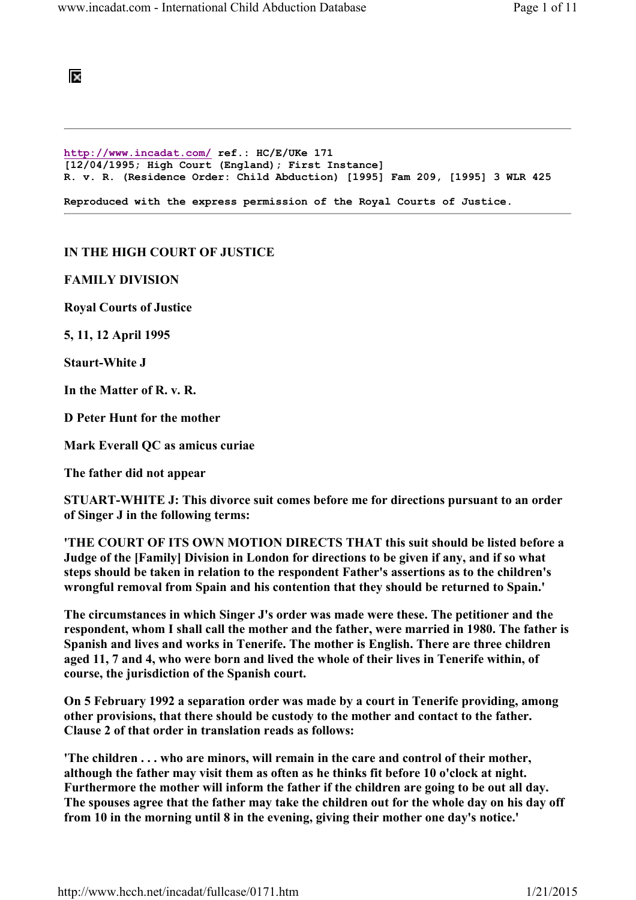

http://www.incadat.com/ ref.: HC/E/UKe 171 [12/04/1995; High Court (England); First Instance] R. v. R. (Residence Order: Child Abduction) [1995] Fam 209, [1995] 3 WLR 425 Reproduced with the express permission of the Royal Courts of Justice.

## IN THE HIGH COURT OF JUSTICE

FAMILY DIVISION

Royal Courts of Justice

5, 11, 12 April 1995

Staurt-White J

In the Matter of R. v. R.

D Peter Hunt for the mother

Mark Everall QC as amicus curiae

The father did not appear

STUART-WHITE J: This divorce suit comes before me for directions pursuant to an order of Singer J in the following terms:

'THE COURT OF ITS OWN MOTION DIRECTS THAT this suit should be listed before a Judge of the [Family] Division in London for directions to be given if any, and if so what steps should be taken in relation to the respondent Father's assertions as to the children's wrongful removal from Spain and his contention that they should be returned to Spain.'

The circumstances in which Singer J's order was made were these. The petitioner and the respondent, whom I shall call the mother and the father, were married in 1980. The father is Spanish and lives and works in Tenerife. The mother is English. There are three children aged 11, 7 and 4, who were born and lived the whole of their lives in Tenerife within, of course, the jurisdiction of the Spanish court.

On 5 February 1992 a separation order was made by a court in Tenerife providing, among other provisions, that there should be custody to the mother and contact to the father. Clause 2 of that order in translation reads as follows:

'The children . . . who are minors, will remain in the care and control of their mother, although the father may visit them as often as he thinks fit before 10 o'clock at night. Furthermore the mother will inform the father if the children are going to be out all day. The spouses agree that the father may take the children out for the whole day on his day off from 10 in the morning until 8 in the evening, giving their mother one day's notice.'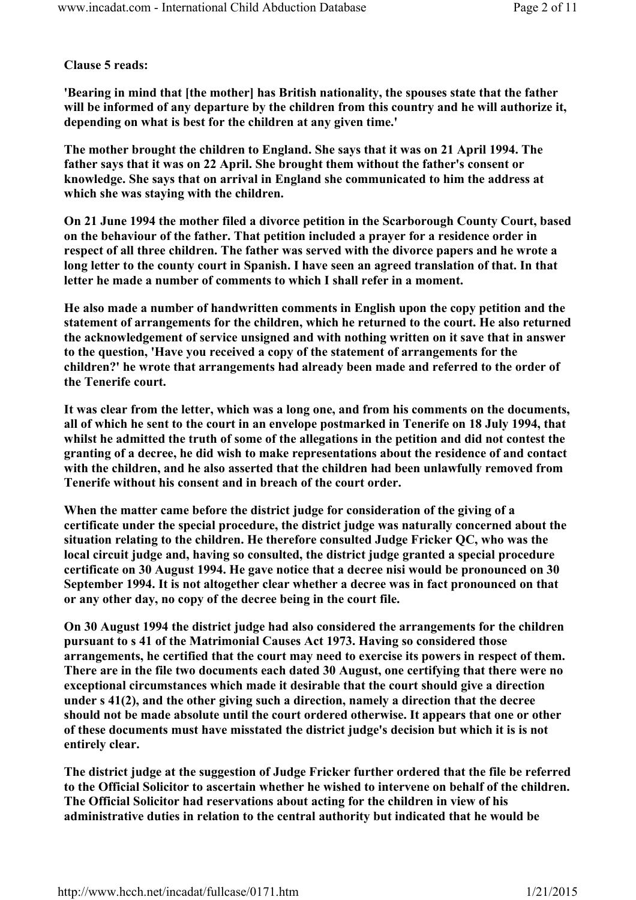## Clause 5 reads:

'Bearing in mind that [the mother] has British nationality, the spouses state that the father will be informed of any departure by the children from this country and he will authorize it, depending on what is best for the children at any given time.'

The mother brought the children to England. She says that it was on 21 April 1994. The father says that it was on 22 April. She brought them without the father's consent or knowledge. She says that on arrival in England she communicated to him the address at which she was staying with the children.

On 21 June 1994 the mother filed a divorce petition in the Scarborough County Court, based on the behaviour of the father. That petition included a prayer for a residence order in respect of all three children. The father was served with the divorce papers and he wrote a long letter to the county court in Spanish. I have seen an agreed translation of that. In that letter he made a number of comments to which I shall refer in a moment.

He also made a number of handwritten comments in English upon the copy petition and the statement of arrangements for the children, which he returned to the court. He also returned the acknowledgement of service unsigned and with nothing written on it save that in answer to the question, 'Have you received a copy of the statement of arrangements for the children?' he wrote that arrangements had already been made and referred to the order of the Tenerife court.

It was clear from the letter, which was a long one, and from his comments on the documents, all of which he sent to the court in an envelope postmarked in Tenerife on 18 July 1994, that whilst he admitted the truth of some of the allegations in the petition and did not contest the granting of a decree, he did wish to make representations about the residence of and contact with the children, and he also asserted that the children had been unlawfully removed from Tenerife without his consent and in breach of the court order.

When the matter came before the district judge for consideration of the giving of a certificate under the special procedure, the district judge was naturally concerned about the situation relating to the children. He therefore consulted Judge Fricker QC, who was the local circuit judge and, having so consulted, the district judge granted a special procedure certificate on 30 August 1994. He gave notice that a decree nisi would be pronounced on 30 September 1994. It is not altogether clear whether a decree was in fact pronounced on that or any other day, no copy of the decree being in the court file.

On 30 August 1994 the district judge had also considered the arrangements for the children pursuant to s 41 of the Matrimonial Causes Act 1973. Having so considered those arrangements, he certified that the court may need to exercise its powers in respect of them. There are in the file two documents each dated 30 August, one certifying that there were no exceptional circumstances which made it desirable that the court should give a direction under s 41(2), and the other giving such a direction, namely a direction that the decree should not be made absolute until the court ordered otherwise. It appears that one or other of these documents must have misstated the district judge's decision but which it is is not entirely clear.

The district judge at the suggestion of Judge Fricker further ordered that the file be referred to the Official Solicitor to ascertain whether he wished to intervene on behalf of the children. The Official Solicitor had reservations about acting for the children in view of his administrative duties in relation to the central authority but indicated that he would be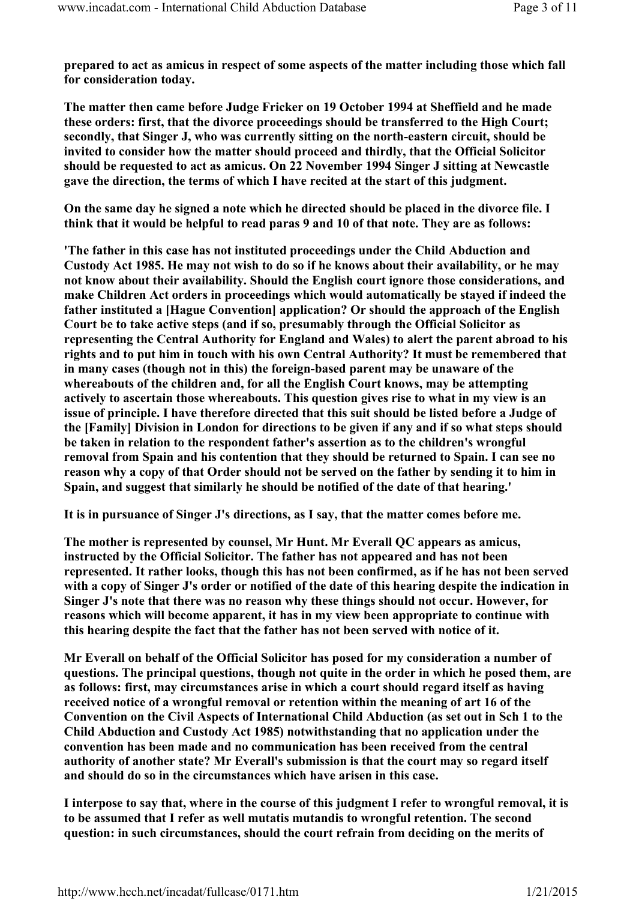prepared to act as amicus in respect of some aspects of the matter including those which fall for consideration today.

The matter then came before Judge Fricker on 19 October 1994 at Sheffield and he made these orders: first, that the divorce proceedings should be transferred to the High Court; secondly, that Singer J, who was currently sitting on the north-eastern circuit, should be invited to consider how the matter should proceed and thirdly, that the Official Solicitor should be requested to act as amicus. On 22 November 1994 Singer J sitting at Newcastle gave the direction, the terms of which I have recited at the start of this judgment.

On the same day he signed a note which he directed should be placed in the divorce file. I think that it would be helpful to read paras 9 and 10 of that note. They are as follows:

'The father in this case has not instituted proceedings under the Child Abduction and Custody Act 1985. He may not wish to do so if he knows about their availability, or he may not know about their availability. Should the English court ignore those considerations, and make Children Act orders in proceedings which would automatically be stayed if indeed the father instituted a [Hague Convention] application? Or should the approach of the English Court be to take active steps (and if so, presumably through the Official Solicitor as representing the Central Authority for England and Wales) to alert the parent abroad to his rights and to put him in touch with his own Central Authority? It must be remembered that in many cases (though not in this) the foreign-based parent may be unaware of the whereabouts of the children and, for all the English Court knows, may be attempting actively to ascertain those whereabouts. This question gives rise to what in my view is an issue of principle. I have therefore directed that this suit should be listed before a Judge of the [Family] Division in London for directions to be given if any and if so what steps should be taken in relation to the respondent father's assertion as to the children's wrongful removal from Spain and his contention that they should be returned to Spain. I can see no reason why a copy of that Order should not be served on the father by sending it to him in Spain, and suggest that similarly he should be notified of the date of that hearing.'

It is in pursuance of Singer J's directions, as I say, that the matter comes before me.

The mother is represented by counsel, Mr Hunt. Mr Everall QC appears as amicus, instructed by the Official Solicitor. The father has not appeared and has not been represented. It rather looks, though this has not been confirmed, as if he has not been served with a copy of Singer J's order or notified of the date of this hearing despite the indication in Singer J's note that there was no reason why these things should not occur. However, for reasons which will become apparent, it has in my view been appropriate to continue with this hearing despite the fact that the father has not been served with notice of it.

Mr Everall on behalf of the Official Solicitor has posed for my consideration a number of questions. The principal questions, though not quite in the order in which he posed them, are as follows: first, may circumstances arise in which a court should regard itself as having received notice of a wrongful removal or retention within the meaning of art 16 of the Convention on the Civil Aspects of International Child Abduction (as set out in Sch 1 to the Child Abduction and Custody Act 1985) notwithstanding that no application under the convention has been made and no communication has been received from the central authority of another state? Mr Everall's submission is that the court may so regard itself and should do so in the circumstances which have arisen in this case.

I interpose to say that, where in the course of this judgment I refer to wrongful removal, it is to be assumed that I refer as well mutatis mutandis to wrongful retention. The second question: in such circumstances, should the court refrain from deciding on the merits of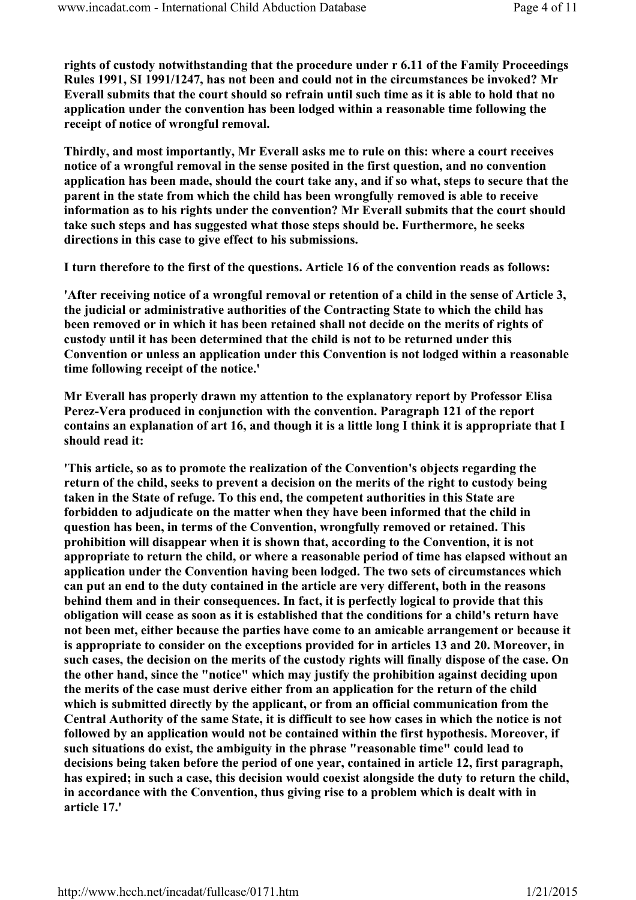rights of custody notwithstanding that the procedure under r 6.11 of the Family Proceedings Rules 1991, SI 1991/1247, has not been and could not in the circumstances be invoked? Mr Everall submits that the court should so refrain until such time as it is able to hold that no application under the convention has been lodged within a reasonable time following the receipt of notice of wrongful removal.

Thirdly, and most importantly, Mr Everall asks me to rule on this: where a court receives notice of a wrongful removal in the sense posited in the first question, and no convention application has been made, should the court take any, and if so what, steps to secure that the parent in the state from which the child has been wrongfully removed is able to receive information as to his rights under the convention? Mr Everall submits that the court should take such steps and has suggested what those steps should be. Furthermore, he seeks directions in this case to give effect to his submissions.

I turn therefore to the first of the questions. Article 16 of the convention reads as follows:

'After receiving notice of a wrongful removal or retention of a child in the sense of Article 3, the judicial or administrative authorities of the Contracting State to which the child has been removed or in which it has been retained shall not decide on the merits of rights of custody until it has been determined that the child is not to be returned under this Convention or unless an application under this Convention is not lodged within a reasonable time following receipt of the notice.'

Mr Everall has properly drawn my attention to the explanatory report by Professor Elisa Perez-Vera produced in conjunction with the convention. Paragraph 121 of the report contains an explanation of art 16, and though it is a little long I think it is appropriate that I should read it:

'This article, so as to promote the realization of the Convention's objects regarding the return of the child, seeks to prevent a decision on the merits of the right to custody being taken in the State of refuge. To this end, the competent authorities in this State are forbidden to adjudicate on the matter when they have been informed that the child in question has been, in terms of the Convention, wrongfully removed or retained. This prohibition will disappear when it is shown that, according to the Convention, it is not appropriate to return the child, or where a reasonable period of time has elapsed without an application under the Convention having been lodged. The two sets of circumstances which can put an end to the duty contained in the article are very different, both in the reasons behind them and in their consequences. In fact, it is perfectly logical to provide that this obligation will cease as soon as it is established that the conditions for a child's return have not been met, either because the parties have come to an amicable arrangement or because it is appropriate to consider on the exceptions provided for in articles 13 and 20. Moreover, in such cases, the decision on the merits of the custody rights will finally dispose of the case. On the other hand, since the "notice" which may justify the prohibition against deciding upon the merits of the case must derive either from an application for the return of the child which is submitted directly by the applicant, or from an official communication from the Central Authority of the same State, it is difficult to see how cases in which the notice is not followed by an application would not be contained within the first hypothesis. Moreover, if such situations do exist, the ambiguity in the phrase "reasonable time" could lead to decisions being taken before the period of one year, contained in article 12, first paragraph, has expired; in such a case, this decision would coexist alongside the duty to return the child, in accordance with the Convention, thus giving rise to a problem which is dealt with in article 17.'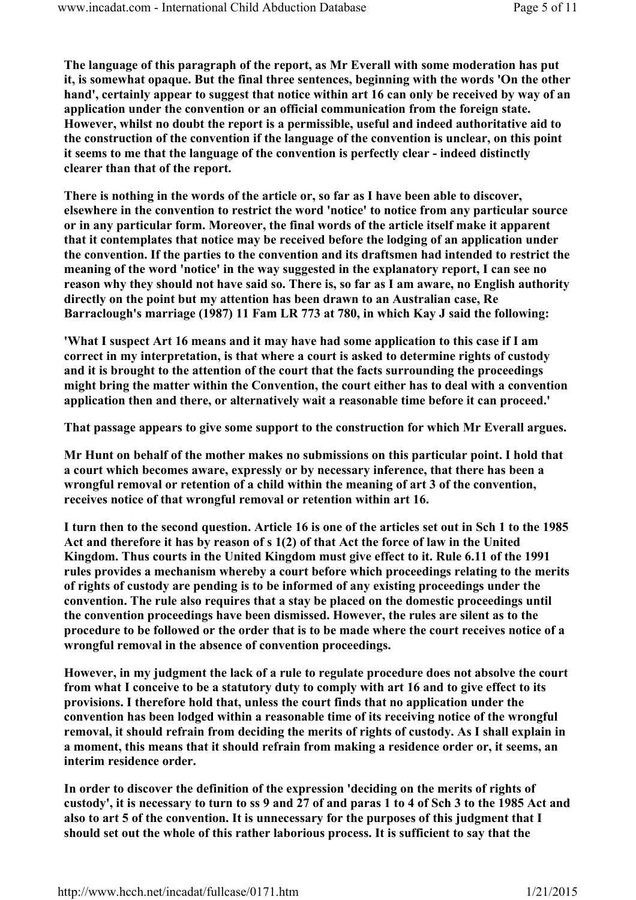The language of this paragraph of the report, as Mr Everall with some moderation has put it, is somewhat opaque. But the final three sentences, beginning with the words 'On the other hand', certainly appear to suggest that notice within art 16 can only be received by way of an application under the convention or an official communication from the foreign state. However, whilst no doubt the report is a permissible, useful and indeed authoritative aid to the construction of the convention if the language of the convention is unclear, on this point it seems to me that the language of the convention is perfectly clear - indeed distinctly clearer than that of the report.

There is nothing in the words of the article or, so far as I have been able to discover, elsewhere in the convention to restrict the word 'notice' to notice from any particular source or in any particular form. Moreover, the final words of the article itself make it apparent that it contemplates that notice may be received before the lodging of an application under the convention. If the parties to the convention and its draftsmen had intended to restrict the meaning of the word 'notice' in the way suggested in the explanatory report, I can see no reason why they should not have said so. There is, so far as I am aware, no English authority directly on the point but my attention has been drawn to an Australian case, Re Barraclough's marriage (1987) 11 Fam LR 773 at 780, in which Kay J said the following:

'What I suspect Art 16 means and it may have had some application to this case if I am correct in my interpretation, is that where a court is asked to determine rights of custody and it is brought to the attention of the court that the facts surrounding the proceedings might bring the matter within the Convention, the court either has to deal with a convention application then and there, or alternatively wait a reasonable time before it can proceed.'

That passage appears to give some support to the construction for which Mr Everall argues.

Mr Hunt on behalf of the mother makes no submissions on this particular point. I hold that a court which becomes aware, expressly or by necessary inference, that there has been a wrongful removal or retention of a child within the meaning of art 3 of the convention, receives notice of that wrongful removal or retention within art 16.

I turn then to the second question. Article 16 is one of the articles set out in Sch 1 to the 1985 Act and therefore it has by reason of s 1(2) of that Act the force of law in the United Kingdom. Thus courts in the United Kingdom must give effect to it. Rule 6.11 of the 1991 rules provides a mechanism whereby a court before which proceedings relating to the merits of rights of custody are pending is to be informed of any existing proceedings under the convention. The rule also requires that a stay be placed on the domestic proceedings until the convention proceedings have been dismissed. However, the rules are silent as to the procedure to be followed or the order that is to be made where the court receives notice of a wrongful removal in the absence of convention proceedings.

However, in my judgment the lack of a rule to regulate procedure does not absolve the court from what I conceive to be a statutory duty to comply with art 16 and to give effect to its provisions. I therefore hold that, unless the court finds that no application under the convention has been lodged within a reasonable time of its receiving notice of the wrongful removal, it should refrain from deciding the merits of rights of custody. As I shall explain in a moment, this means that it should refrain from making a residence order or, it seems, an interim residence order.

In order to discover the definition of the expression 'deciding on the merits of rights of custody', it is necessary to turn to ss 9 and 27 of and paras 1 to 4 of Sch 3 to the 1985 Act and also to art 5 of the convention. It is unnecessary for the purposes of this judgment that I should set out the whole of this rather laborious process. It is sufficient to say that the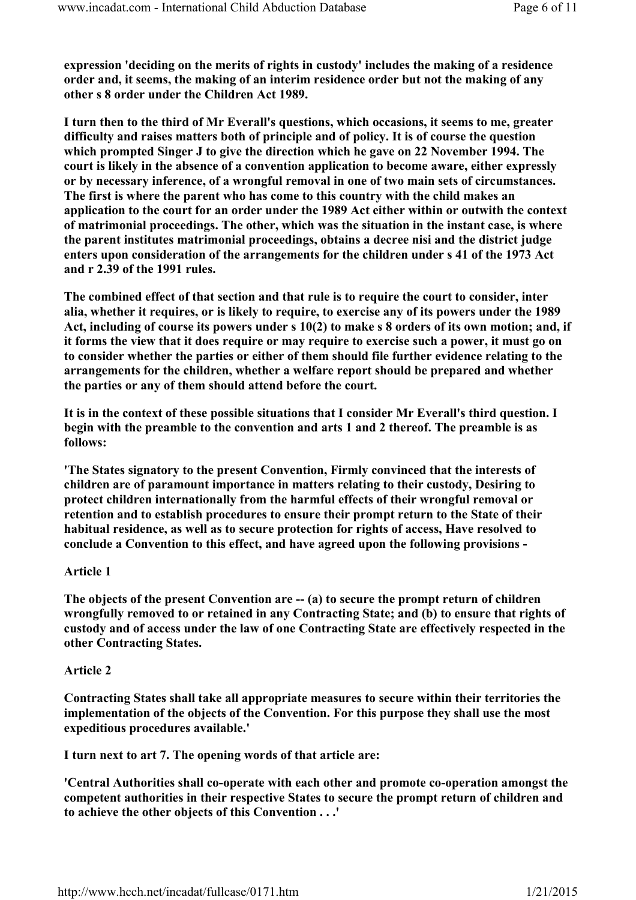expression 'deciding on the merits of rights in custody' includes the making of a residence order and, it seems, the making of an interim residence order but not the making of any other s 8 order under the Children Act 1989.

I turn then to the third of Mr Everall's questions, which occasions, it seems to me, greater difficulty and raises matters both of principle and of policy. It is of course the question which prompted Singer J to give the direction which he gave on 22 November 1994. The court is likely in the absence of a convention application to become aware, either expressly or by necessary inference, of a wrongful removal in one of two main sets of circumstances. The first is where the parent who has come to this country with the child makes an application to the court for an order under the 1989 Act either within or outwith the context of matrimonial proceedings. The other, which was the situation in the instant case, is where the parent institutes matrimonial proceedings, obtains a decree nisi and the district judge enters upon consideration of the arrangements for the children under s 41 of the 1973 Act and r 2.39 of the 1991 rules.

The combined effect of that section and that rule is to require the court to consider, inter alia, whether it requires, or is likely to require, to exercise any of its powers under the 1989 Act, including of course its powers under s 10(2) to make s 8 orders of its own motion; and, if it forms the view that it does require or may require to exercise such a power, it must go on to consider whether the parties or either of them should file further evidence relating to the arrangements for the children, whether a welfare report should be prepared and whether the parties or any of them should attend before the court.

It is in the context of these possible situations that I consider Mr Everall's third question. I begin with the preamble to the convention and arts 1 and 2 thereof. The preamble is as follows:

'The States signatory to the present Convention, Firmly convinced that the interests of children are of paramount importance in matters relating to their custody, Desiring to protect children internationally from the harmful effects of their wrongful removal or retention and to establish procedures to ensure their prompt return to the State of their habitual residence, as well as to secure protection for rights of access, Have resolved to conclude a Convention to this effect, and have agreed upon the following provisions -

## Article 1

The objects of the present Convention are -- (a) to secure the prompt return of children wrongfully removed to or retained in any Contracting State; and (b) to ensure that rights of custody and of access under the law of one Contracting State are effectively respected in the other Contracting States.

## Article 2

Contracting States shall take all appropriate measures to secure within their territories the implementation of the objects of the Convention. For this purpose they shall use the most expeditious procedures available.'

I turn next to art 7. The opening words of that article are:

'Central Authorities shall co-operate with each other and promote co-operation amongst the competent authorities in their respective States to secure the prompt return of children and to achieve the other objects of this Convention . . .'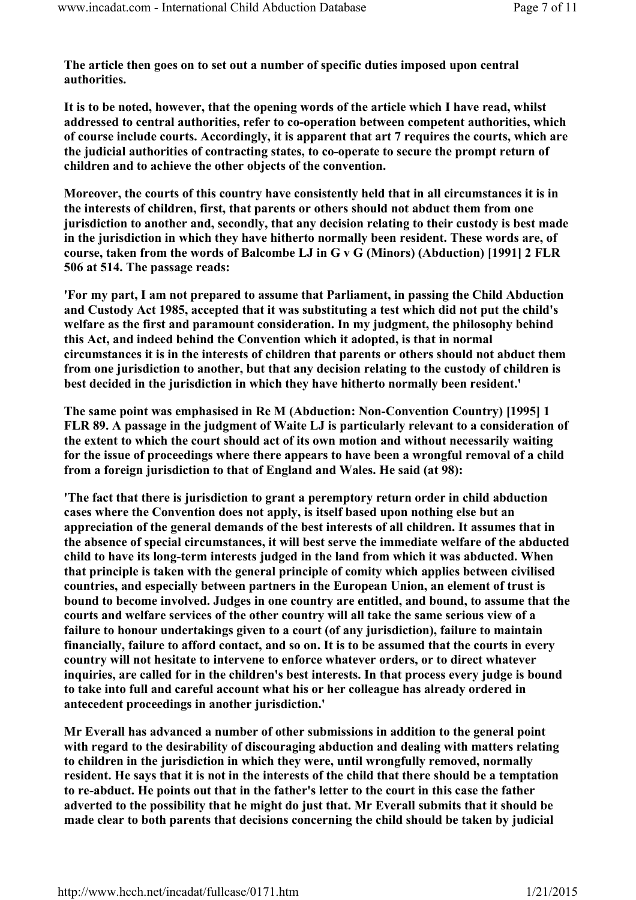The article then goes on to set out a number of specific duties imposed upon central authorities.

It is to be noted, however, that the opening words of the article which I have read, whilst addressed to central authorities, refer to co-operation between competent authorities, which of course include courts. Accordingly, it is apparent that art 7 requires the courts, which are the judicial authorities of contracting states, to co-operate to secure the prompt return of children and to achieve the other objects of the convention.

Moreover, the courts of this country have consistently held that in all circumstances it is in the interests of children, first, that parents or others should not abduct them from one jurisdiction to another and, secondly, that any decision relating to their custody is best made in the jurisdiction in which they have hitherto normally been resident. These words are, of course, taken from the words of Balcombe LJ in G v G (Minors) (Abduction) [1991] 2 FLR 506 at 514. The passage reads:

'For my part, I am not prepared to assume that Parliament, in passing the Child Abduction and Custody Act 1985, accepted that it was substituting a test which did not put the child's welfare as the first and paramount consideration. In my judgment, the philosophy behind this Act, and indeed behind the Convention which it adopted, is that in normal circumstances it is in the interests of children that parents or others should not abduct them from one jurisdiction to another, but that any decision relating to the custody of children is best decided in the jurisdiction in which they have hitherto normally been resident.'

The same point was emphasised in Re M (Abduction: Non-Convention Country) [1995] 1 FLR 89. A passage in the judgment of Waite LJ is particularly relevant to a consideration of the extent to which the court should act of its own motion and without necessarily waiting for the issue of proceedings where there appears to have been a wrongful removal of a child from a foreign jurisdiction to that of England and Wales. He said (at 98):

'The fact that there is jurisdiction to grant a peremptory return order in child abduction cases where the Convention does not apply, is itself based upon nothing else but an appreciation of the general demands of the best interests of all children. It assumes that in the absence of special circumstances, it will best serve the immediate welfare of the abducted child to have its long-term interests judged in the land from which it was abducted. When that principle is taken with the general principle of comity which applies between civilised countries, and especially between partners in the European Union, an element of trust is bound to become involved. Judges in one country are entitled, and bound, to assume that the courts and welfare services of the other country will all take the same serious view of a failure to honour undertakings given to a court (of any jurisdiction), failure to maintain financially, failure to afford contact, and so on. It is to be assumed that the courts in every country will not hesitate to intervene to enforce whatever orders, or to direct whatever inquiries, are called for in the children's best interests. In that process every judge is bound to take into full and careful account what his or her colleague has already ordered in antecedent proceedings in another jurisdiction.'

Mr Everall has advanced a number of other submissions in addition to the general point with regard to the desirability of discouraging abduction and dealing with matters relating to children in the jurisdiction in which they were, until wrongfully removed, normally resident. He says that it is not in the interests of the child that there should be a temptation to re-abduct. He points out that in the father's letter to the court in this case the father adverted to the possibility that he might do just that. Mr Everall submits that it should be made clear to both parents that decisions concerning the child should be taken by judicial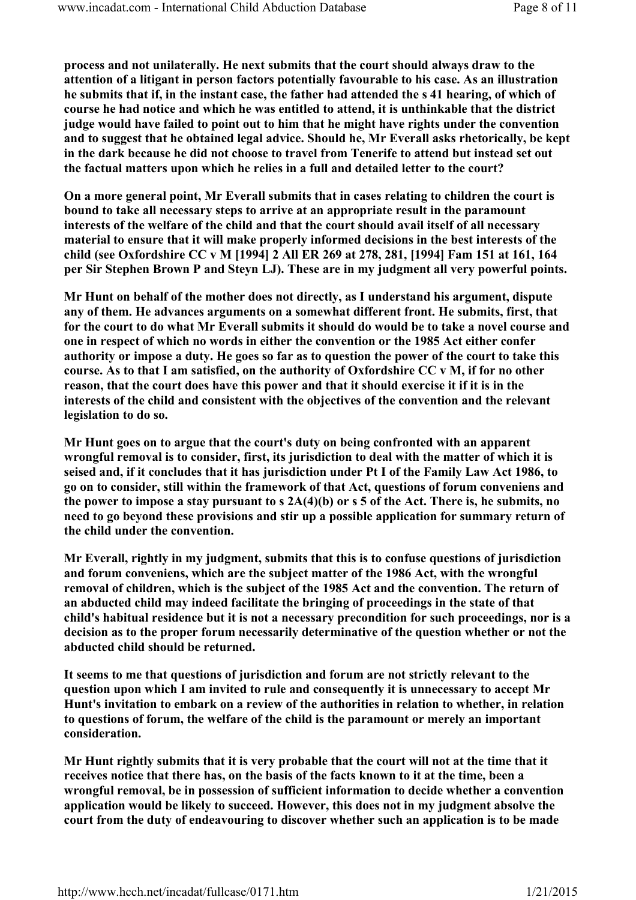process and not unilaterally. He next submits that the court should always draw to the attention of a litigant in person factors potentially favourable to his case. As an illustration he submits that if, in the instant case, the father had attended the s 41 hearing, of which of course he had notice and which he was entitled to attend, it is unthinkable that the district judge would have failed to point out to him that he might have rights under the convention and to suggest that he obtained legal advice. Should he, Mr Everall asks rhetorically, be kept in the dark because he did not choose to travel from Tenerife to attend but instead set out the factual matters upon which he relies in a full and detailed letter to the court?

On a more general point, Mr Everall submits that in cases relating to children the court is bound to take all necessary steps to arrive at an appropriate result in the paramount interests of the welfare of the child and that the court should avail itself of all necessary material to ensure that it will make properly informed decisions in the best interests of the child (see Oxfordshire CC v M [1994] 2 All ER 269 at 278, 281, [1994] Fam 151 at 161, 164 per Sir Stephen Brown P and Steyn LJ). These are in my judgment all very powerful points.

Mr Hunt on behalf of the mother does not directly, as I understand his argument, dispute any of them. He advances arguments on a somewhat different front. He submits, first, that for the court to do what Mr Everall submits it should do would be to take a novel course and one in respect of which no words in either the convention or the 1985 Act either confer authority or impose a duty. He goes so far as to question the power of the court to take this course. As to that I am satisfied, on the authority of Oxfordshire CC v M, if for no other reason, that the court does have this power and that it should exercise it if it is in the interests of the child and consistent with the objectives of the convention and the relevant legislation to do so.

Mr Hunt goes on to argue that the court's duty on being confronted with an apparent wrongful removal is to consider, first, its jurisdiction to deal with the matter of which it is seised and, if it concludes that it has jurisdiction under Pt I of the Family Law Act 1986, to go on to consider, still within the framework of that Act, questions of forum conveniens and the power to impose a stay pursuant to s 2A(4)(b) or s 5 of the Act. There is, he submits, no need to go beyond these provisions and stir up a possible application for summary return of the child under the convention.

Mr Everall, rightly in my judgment, submits that this is to confuse questions of jurisdiction and forum conveniens, which are the subject matter of the 1986 Act, with the wrongful removal of children, which is the subject of the 1985 Act and the convention. The return of an abducted child may indeed facilitate the bringing of proceedings in the state of that child's habitual residence but it is not a necessary precondition for such proceedings, nor is a decision as to the proper forum necessarily determinative of the question whether or not the abducted child should be returned.

It seems to me that questions of jurisdiction and forum are not strictly relevant to the question upon which I am invited to rule and consequently it is unnecessary to accept Mr Hunt's invitation to embark on a review of the authorities in relation to whether, in relation to questions of forum, the welfare of the child is the paramount or merely an important consideration.

Mr Hunt rightly submits that it is very probable that the court will not at the time that it receives notice that there has, on the basis of the facts known to it at the time, been a wrongful removal, be in possession of sufficient information to decide whether a convention application would be likely to succeed. However, this does not in my judgment absolve the court from the duty of endeavouring to discover whether such an application is to be made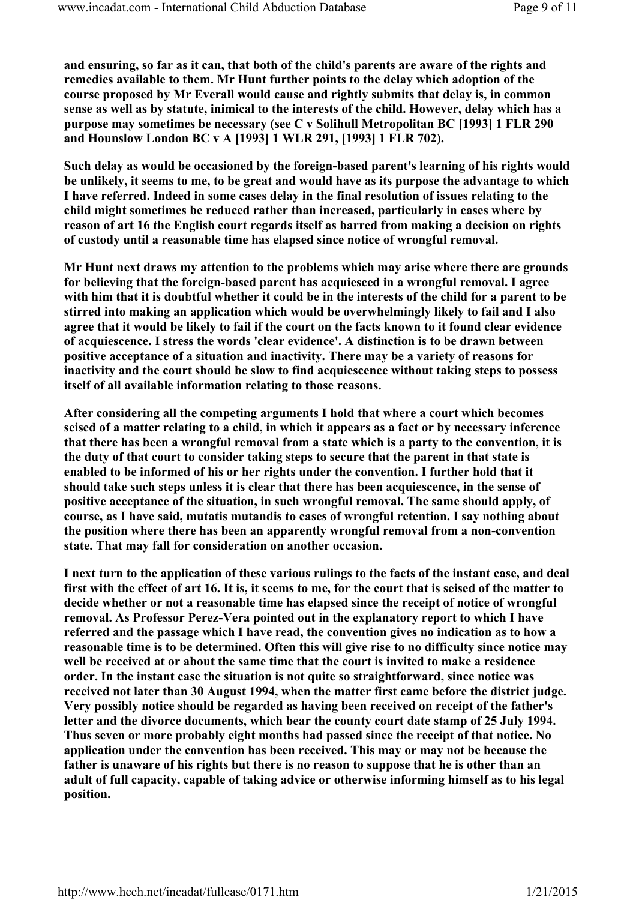and ensuring, so far as it can, that both of the child's parents are aware of the rights and remedies available to them. Mr Hunt further points to the delay which adoption of the course proposed by Mr Everall would cause and rightly submits that delay is, in common sense as well as by statute, inimical to the interests of the child. However, delay which has a purpose may sometimes be necessary (see C v Solihull Metropolitan BC [1993] 1 FLR 290 and Hounslow London BC v A [1993] 1 WLR 291, [1993] 1 FLR 702).

Such delay as would be occasioned by the foreign-based parent's learning of his rights would be unlikely, it seems to me, to be great and would have as its purpose the advantage to which I have referred. Indeed in some cases delay in the final resolution of issues relating to the child might sometimes be reduced rather than increased, particularly in cases where by reason of art 16 the English court regards itself as barred from making a decision on rights of custody until a reasonable time has elapsed since notice of wrongful removal.

Mr Hunt next draws my attention to the problems which may arise where there are grounds for believing that the foreign-based parent has acquiesced in a wrongful removal. I agree with him that it is doubtful whether it could be in the interests of the child for a parent to be stirred into making an application which would be overwhelmingly likely to fail and I also agree that it would be likely to fail if the court on the facts known to it found clear evidence of acquiescence. I stress the words 'clear evidence'. A distinction is to be drawn between positive acceptance of a situation and inactivity. There may be a variety of reasons for inactivity and the court should be slow to find acquiescence without taking steps to possess itself of all available information relating to those reasons.

After considering all the competing arguments I hold that where a court which becomes seised of a matter relating to a child, in which it appears as a fact or by necessary inference that there has been a wrongful removal from a state which is a party to the convention, it is the duty of that court to consider taking steps to secure that the parent in that state is enabled to be informed of his or her rights under the convention. I further hold that it should take such steps unless it is clear that there has been acquiescence, in the sense of positive acceptance of the situation, in such wrongful removal. The same should apply, of course, as I have said, mutatis mutandis to cases of wrongful retention. I say nothing about the position where there has been an apparently wrongful removal from a non-convention state. That may fall for consideration on another occasion.

I next turn to the application of these various rulings to the facts of the instant case, and deal first with the effect of art 16. It is, it seems to me, for the court that is seised of the matter to decide whether or not a reasonable time has elapsed since the receipt of notice of wrongful removal. As Professor Perez-Vera pointed out in the explanatory report to which I have referred and the passage which I have read, the convention gives no indication as to how a reasonable time is to be determined. Often this will give rise to no difficulty since notice may well be received at or about the same time that the court is invited to make a residence order. In the instant case the situation is not quite so straightforward, since notice was received not later than 30 August 1994, when the matter first came before the district judge. Very possibly notice should be regarded as having been received on receipt of the father's letter and the divorce documents, which bear the county court date stamp of 25 July 1994. Thus seven or more probably eight months had passed since the receipt of that notice. No application under the convention has been received. This may or may not be because the father is unaware of his rights but there is no reason to suppose that he is other than an adult of full capacity, capable of taking advice or otherwise informing himself as to his legal position.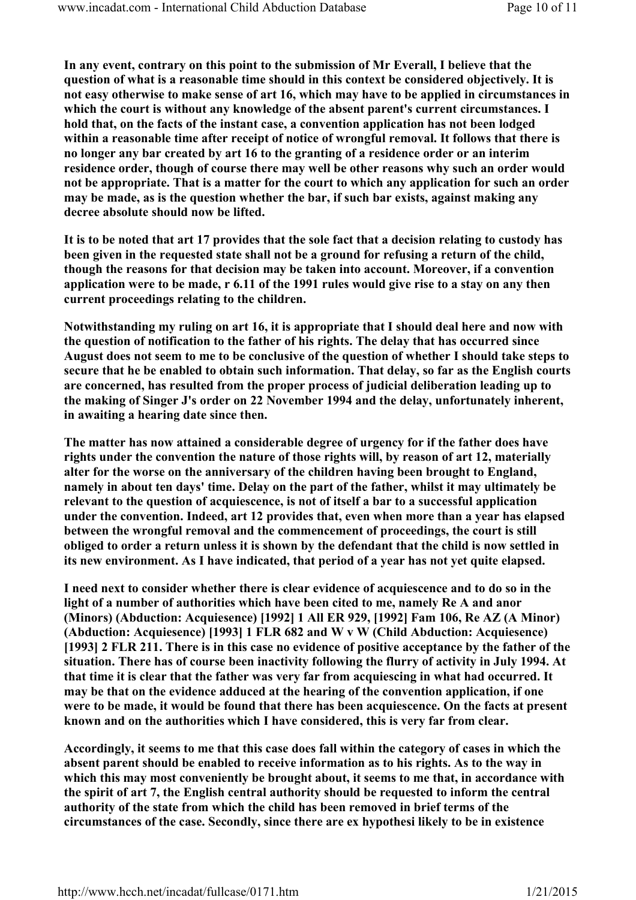In any event, contrary on this point to the submission of Mr Everall, I believe that the question of what is a reasonable time should in this context be considered objectively. It is not easy otherwise to make sense of art 16, which may have to be applied in circumstances in which the court is without any knowledge of the absent parent's current circumstances. I hold that, on the facts of the instant case, a convention application has not been lodged within a reasonable time after receipt of notice of wrongful removal. It follows that there is no longer any bar created by art 16 to the granting of a residence order or an interim residence order, though of course there may well be other reasons why such an order would not be appropriate. That is a matter for the court to which any application for such an order may be made, as is the question whether the bar, if such bar exists, against making any decree absolute should now be lifted.

It is to be noted that art 17 provides that the sole fact that a decision relating to custody has been given in the requested state shall not be a ground for refusing a return of the child, though the reasons for that decision may be taken into account. Moreover, if a convention application were to be made, r 6.11 of the 1991 rules would give rise to a stay on any then current proceedings relating to the children.

Notwithstanding my ruling on art 16, it is appropriate that I should deal here and now with the question of notification to the father of his rights. The delay that has occurred since August does not seem to me to be conclusive of the question of whether I should take steps to secure that he be enabled to obtain such information. That delay, so far as the English courts are concerned, has resulted from the proper process of judicial deliberation leading up to the making of Singer J's order on 22 November 1994 and the delay, unfortunately inherent, in awaiting a hearing date since then.

The matter has now attained a considerable degree of urgency for if the father does have rights under the convention the nature of those rights will, by reason of art 12, materially alter for the worse on the anniversary of the children having been brought to England, namely in about ten days' time. Delay on the part of the father, whilst it may ultimately be relevant to the question of acquiescence, is not of itself a bar to a successful application under the convention. Indeed, art 12 provides that, even when more than a year has elapsed between the wrongful removal and the commencement of proceedings, the court is still obliged to order a return unless it is shown by the defendant that the child is now settled in its new environment. As I have indicated, that period of a year has not yet quite elapsed.

I need next to consider whether there is clear evidence of acquiescence and to do so in the light of a number of authorities which have been cited to me, namely Re A and anor (Minors) (Abduction: Acquiesence) [1992] 1 All ER 929, [1992] Fam 106, Re AZ (A Minor) (Abduction: Acquiesence) [1993] 1 FLR 682 and W v W (Child Abduction: Acquiesence) [1993] 2 FLR 211. There is in this case no evidence of positive acceptance by the father of the situation. There has of course been inactivity following the flurry of activity in July 1994. At that time it is clear that the father was very far from acquiescing in what had occurred. It may be that on the evidence adduced at the hearing of the convention application, if one were to be made, it would be found that there has been acquiescence. On the facts at present known and on the authorities which I have considered, this is very far from clear.

Accordingly, it seems to me that this case does fall within the category of cases in which the absent parent should be enabled to receive information as to his rights. As to the way in which this may most conveniently be brought about, it seems to me that, in accordance with the spirit of art 7, the English central authority should be requested to inform the central authority of the state from which the child has been removed in brief terms of the circumstances of the case. Secondly, since there are ex hypothesi likely to be in existence